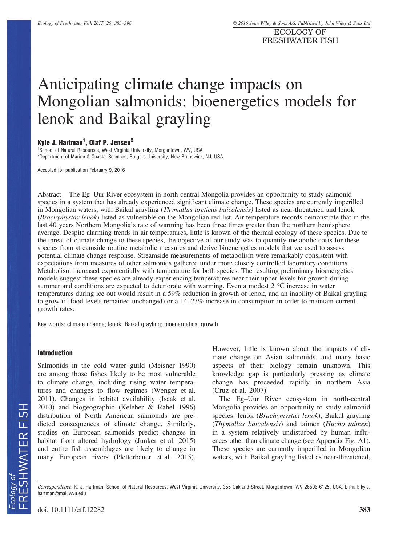ECOLOGY OF FRESHWATER FISH

# Anticipating climate change impacts on Mongolian salmonids: bioenergetics models for lenok and Baikal grayling

# Kyle J. Hartman<sup>1</sup>, Olaf P. Jensen<sup>2</sup>

<sup>1</sup>School of Natural Resources, West Virginia University, Morgantown, WV, USA <sup>2</sup>Department of Marine & Coastal Sciences, Rutgers University, New Brunswick, NJ, USA

Accepted for publication February 9, 2016

Abstract – The Eg–Uur River ecosystem in north-central Mongolia provides an opportunity to study salmonid species in a system that has already experienced significant climate change. These species are currently imperilled in Mongolian waters, with Baikal grayling (Thymallus arcticus baicalensis) listed as near-threatened and lenok (Brachymystax lenok) listed as vulnerable on the Mongolian red list. Air temperature records demonstrate that in the last 40 years Northern Mongolia's rate of warming has been three times greater than the northern hemisphere average. Despite alarming trends in air temperatures, little is known of the thermal ecology of these species. Due to the threat of climate change to these species, the objective of our study was to quantify metabolic costs for these species from streamside routine metabolic measures and derive bioenergetics models that we used to assess potential climate change response. Streamside measurements of metabolism were remarkably consistent with expectations from measures of other salmonids gathered under more closely controlled laboratory conditions. Metabolism increased exponentially with temperature for both species. The resulting preliminary bioenergetics models suggest these species are already experiencing temperatures near their upper levels for growth during summer and conditions are expected to deteriorate with warming. Even a modest 2 °C increase in water temperatures during ice out would result in a 59% reduction in growth of lenok, and an inability of Baikal grayling to grow (if food levels remained unchanged) or a 14–23% increase in consumption in order to maintain current growth rates.

Key words: climate change; lenok; Baikal grayling; bioenergetics; growth

#### Introduction

Salmonids in the cold water guild (Meisner 1990) are among those fishes likely to be most vulnerable to climate change, including rising water temperatures and changes to flow regimes (Wenger et al. 2011). Changes in habitat availability (Isaak et al. 2010) and biogeographic (Keleher & Rahel 1996) distribution of North American salmonids are predicted consequences of climate change. Similarly, studies on European salmonids predict changes in habitat from altered hydrology (Junker et al. 2015) and entire fish assemblages are likely to change in many European rivers (Pletterbauer et al. 2015). However, little is known about the impacts of climate change on Asian salmonids, and many basic aspects of their biology remain unknown. This knowledge gap is particularly pressing as climate change has proceeded rapidly in northern Asia (Cruz et al. 2007).

The Eg–Uur River ecosystem in north-central Mongolia provides an opportunity to study salmonid species: lenok (Brachymystax lenok), Baikal grayling (Thymallus baicalensis) and taimen (Hucho taimen) in a system relatively undisturbed by human influences other than climate change (see Appendix Fig. A1). These species are currently imperilled in Mongolian waters, with Baikal grayling listed as near-threatened,

Correspondence: K. J. Hartman, School of Natural Resources, West Virginia University, 355 Oakland Street, Morgantown, WV 26506-6125, USA. E-mail: kyle. hartman@mail.wvu.edu

doi: 10.1111/eff.12282 383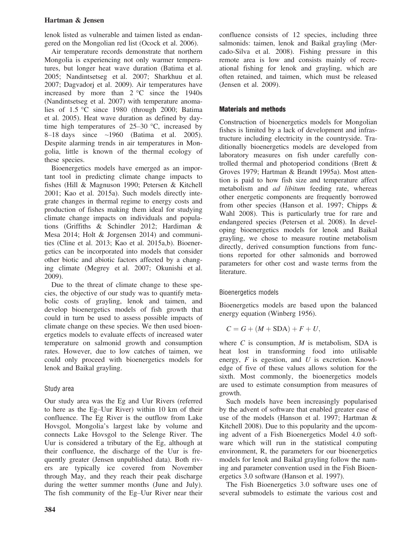lenok listed as vulnerable and taimen listed as endangered on the Mongolian red list (Ocock et al. 2006).

Air temperature records demonstrate that northern Mongolia is experiencing not only warmer temperatures, but longer heat wave duration (Batima et al. 2005; Nandintsetseg et al. 2007; Sharkhuu et al. 2007; Dagvadorj et al. 2009). Air temperatures have increased by more than  $2 \degree C$  since the 1940s (Nandintsetseg et al. 2007) with temperature anomalies of 1.5 °C since 1980 (through 2000; Batima et al. 2005). Heat wave duration as defined by daytime high temperatures of  $25-30$  °C, increased by  $8-18$  days since  $\sim$ 1960 (Batima et al. 2005). Despite alarming trends in air temperatures in Mongolia, little is known of the thermal ecology of these species.

Bioenergetics models have emerged as an important tool in predicting climate change impacts to fishes (Hill & Magnuson 1990; Petersen & Kitchell 2001; Kao et al. 2015a). Such models directly integrate changes in thermal regime to energy costs and production of fishes making them ideal for studying climate change impacts on individuals and populations (Griffiths & Schindler 2012; Hardiman & Mesa 2014; Holt & Jorgensen 2014) and communities (Cline et al. 2013; Kao et al. 2015a,b). Bioenergetics can be incorporated into models that consider other biotic and abiotic factors affected by a changing climate (Megrey et al. 2007; Okunishi et al. 2009).

Due to the threat of climate change to these species, the objective of our study was to quantify metabolic costs of grayling, lenok and taimen, and develop bioenergetics models of fish growth that could in turn be used to assess possible impacts of climate change on these species. We then used bioenergetics models to evaluate effects of increased water temperature on salmonid growth and consumption rates. However, due to low catches of taimen, we could only proceed with bioenergetics models for lenok and Baikal grayling.

# Study area

Our study area was the Eg and Uur Rivers (referred to here as the Eg–Uur River) within 10 km of their confluence. The Eg River is the outflow from Lake Hovsgol, Mongolia's largest lake by volume and connects Lake Hovsgol to the Selenge River. The Uur is considered a tributary of the Eg, although at their confluence, the discharge of the Uur is frequently greater (Jensen unpublished data). Both rivers are typically ice covered from November through May, and they reach their peak discharge during the wetter summer months (June and July). The fish community of the Eg–Uur River near their confluence consists of 12 species, including three salmonids: taimen, lenok and Baikal grayling (Mercado-Silva et al. 2008). Fishing pressure in this remote area is low and consists mainly of recreational fishing for lenok and grayling, which are often retained, and taimen, which must be released (Jensen et al. 2009).

# Materials and methods

Construction of bioenergetics models for Mongolian fishes is limited by a lack of development and infrastructure including electricity in the countryside. Traditionally bioenergetics models are developed from laboratory measures on fish under carefully controlled thermal and photoperiod conditions (Brett & Groves 1979; Hartman & Brandt 1995a). Most attention is paid to how fish size and temperature affect metabolism and ad libitum feeding rate, whereas other energetic components are frequently borrowed from other species (Hanson et al. 1997; Chipps & Wahl 2008). This is particularly true for rare and endangered species (Petersen et al. 2008). In developing bioenergetics models for lenok and Baikal grayling, we chose to measure routine metabolism directly, derived consumption functions from functions reported for other salmonids and borrowed parameters for other cost and waste terms from the literature.

# Bioenergetics models

Bioenergetics models are based upon the balanced energy equation (Winberg 1956).

$$
C = G + (M + \text{SDA}) + F + U,
$$

where  $C$  is consumption,  $M$  is metabolism. SDA is heat lost in transforming food into utilisable energy,  $F$  is egestion, and  $U$  is excretion. Knowledge of five of these values allows solution for the sixth. Most commonly, the bioenergetics models are used to estimate consumption from measures of growth.

Such models have been increasingly popularised by the advent of software that enabled greater ease of use of the models (Hanson et al. 1997; Hartman & Kitchell 2008). Due to this popularity and the upcoming advent of a Fish Bioenergetics Model 4.0 software which will run in the statistical computing environment, R, the parameters for our bioenergetics models for lenok and Baikal grayling follow the naming and parameter convention used in the Fish Bioenergetics 3.0 software (Hanson et al. 1997).

The Fish Bioenergetics 3.0 software uses one of several submodels to estimate the various cost and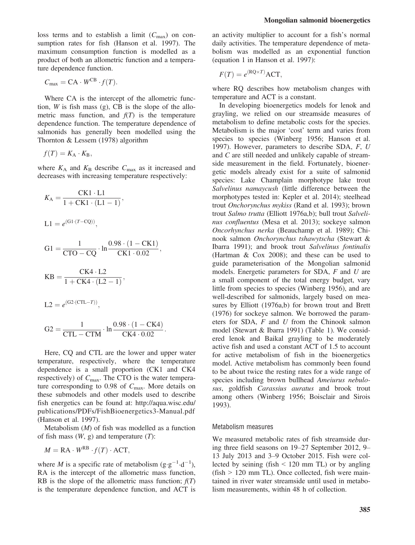loss terms and to establish a limit  $(C_{\text{max}})$  on consumption rates for fish (Hanson et al. 1997). The maximum consumption function is modelled as a product of both an allometric function and a temperature dependence function.

$$
C_{\text{max}} = \text{CA} \cdot W^{\text{CB}} \cdot f(T).
$$

Where CA is the intercept of the allometric function, *W* is fish mass  $(g)$ . CB is the slope of the allometric mass function, and  $f(T)$  is the temperature dependence function. The temperature dependence of salmonids has generally been modelled using the Thornton & Lessem (1978) algorithm

$$
f(T) = K_{\rm A} \cdot K_{\rm B},
$$

where  $K_A$  and  $K_B$  describe  $C_{\text{max}}$  as it increased and decreases with increasing temperature respectively:

$$
K_{A} = \frac{CK1 \cdot L1}{1 + CK1 \cdot (L1 - 1)},
$$
  
\n
$$
L1 = e^{(G1 \cdot (T - CQ))},
$$
  
\n
$$
G1 = \frac{1}{CTO - CQ} \cdot \ln \frac{0.98 \cdot (1 - CK1)}{CK1 \cdot 0.02},
$$
  
\n
$$
KB = \frac{CK4 \cdot L2}{1 + CK4 \cdot (L2 - 1)},
$$
  
\n
$$
L2 = e^{(G2 \cdot (CTL - T))},
$$
  
\n
$$
G2 = \frac{1}{CTL - CTM} \cdot \ln \frac{0.98 \cdot (1 - CK4)}{CK4 \cdot 0.02}.
$$

Here, CQ and CTL are the lower and upper water temperature, respectively, where the temperature dependence is a small proportion (CK1 and CK4 respectively) of  $C_{\text{max}}$ . The CTO is the water temperature corresponding to 0.98 of  $C_{\text{max}}$ . More details on these submodels and other models used to describe fish energetics can be found at: [http://aqua.wisc.edu/](http://aqua.wisc.edu/publications/PDFs/FishBioenergetics3-Manual.pdf) [publications/PDFs/FishBioenergetics3-Manual.pdf](http://aqua.wisc.edu/publications/PDFs/FishBioenergetics3-Manual.pdf) (Hanson et al. 1997).

Metabolism  $(M)$  of fish was modelled as a function of fish mass  $(W, g)$  and temperature  $(T)$ :

$$
M = \mathrm{RA} \cdot W^{\mathrm{RB}} \cdot f(T) \cdot \mathrm{ACT},
$$

where *M* is a specific rate of metabolism (g·g<sup>-1</sup>·d<sup>-1</sup>), RA is the intercept of the allometric mass function, RB is the slope of the allometric mass function;  $f(T)$ is the temperature dependence function, and ACT is an activity multiplier to account for a fish's normal daily activities. The temperature dependence of metabolism was modelled as an exponential function (equation 1 in Hanson et al. 1997):

$$
F(T) = e^{(\text{RQ} \times T)} \text{ACT},
$$

where RQ describes how metabolism changes with temperature and ACT is a constant.

In developing bioenergetics models for lenok and grayling, we relied on our streamside measures of metabolism to define metabolic costs for the species. Metabolism is the major 'cost' term and varies from species to species (Winberg 1956; Hanson et al. 1997). However, parameters to describe SDA, F, U and C are still needed and unlikely capable of streamside measurement in the field. Fortunately, bioenergetic models already exist for a suite of salmonid species: Lake Champlain morphotype lake trout Salvelinus namaycush (little difference between the morphotypes tested in: Kepler et al. 2014); steelhead trout Onchorynchus mykiss (Rand et al. 1993); brown trout Salmo trutta (Elliott 1976a,b); bull trout Salvelinus confluentus (Mesa et al. 2013); sockeye salmon Oncorhynchus nerka (Beauchamp et al. 1989); Chinook salmon Onchorynchus tshawytscha (Stewart & Ibarra 1991); and brook trout Salvelinus fontinalis (Hartman & Cox 2008); and these can be used to guide parameterisation of the Mongolian salmonid models. Energetic parameters for SDA, F and U are a small component of the total energy budget, vary little from species to species (Winberg 1956), and are well-described for salmonids, largely based on measures by Elliott (1976a,b) for brown trout and Brett (1976) for sockeye salmon. We borrowed the parameters for SDA, F and U from the Chinook salmon model (Stewart & Ibarra 1991) (Table 1). We considered lenok and Baikal grayling to be moderately active fish and used a constant ACT of 1.5 to account for active metabolism of fish in the bioenergetics model. Active metabolism has commonly been found to be about twice the resting rates for a wide range of species including brown bullhead Ameiurus nebulosus, goldfish Carassius auratus and brook trout among others (Winberg 1956; Boisclair and Sirois 1993).

#### Metabolism measures

We measured metabolic rates of fish streamside during three field seasons on 19–27 September 2012, 9– 13 July 2013 and 3–9 October 2015. Fish were collected by seining (fish  $\leq$  120 mm TL) or by angling  $(fish > 120$  mm TL). Once collected, fish were maintained in river water streamside until used in metabolism measurements, within 48 h of collection.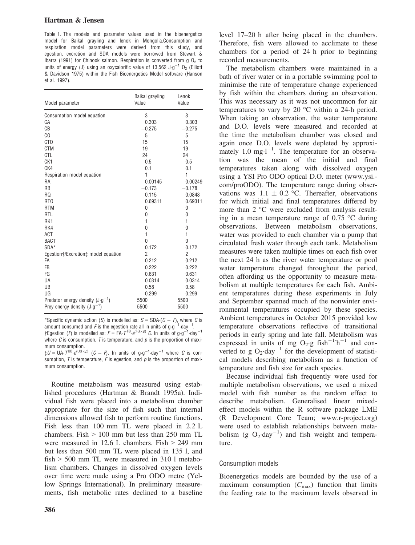Table 1. The models and parameter values used in the bioenergetics model for Baikal grayling and lenok in Mongolia.Consumption and respiration model parameters were derived from this study, and egestion, excretion and SDA models were borrowed from Stewart & Ibarra (1991) for Chinook salmon. Respiration is converted from g  $0<sub>2</sub>$  to units of energy (J) using an oxycalorific value of 13,562  $\text{J} \cdot \text{g}^{-1}$  O<sub>2</sub> (Elliott & Davidson 1975) within the Fish Bioenergetics Model software (Hanson et al. 1997).

| Model parameter                                 | Baikal grayling<br>Value | Lenok<br>Value |
|-------------------------------------------------|--------------------------|----------------|
| Consumption model equation                      | 3                        | 3              |
| CA                                              | 0.303                    | 0.303          |
| CB                                              | $-0.275$                 | $-0.275$       |
| CQ                                              | 5                        | 5              |
| CT <sub>0</sub>                                 | 15                       | 15             |
| <b>CTM</b>                                      | 19                       | 19             |
| <b>CTL</b>                                      | 24                       | 24             |
| CK <sub>1</sub>                                 | 0.5                      | 0.5            |
| CK4                                             | 0.1                      | 0.1            |
| Respiration model equation                      | $\mathbf{1}$             | $\mathbf{1}$   |
| <b>RA</b>                                       | 0.00145                  | 0.00249        |
| <b>RB</b>                                       | $-0.173$                 | $-0.178$       |
| RQ                                              | 0.115                    | 0.0848         |
| RT <sub>0</sub>                                 | 0.69311                  | 0.69311        |
| <b>RTM</b>                                      | 0                        | 0              |
| <b>RTL</b>                                      | 0                        | 0              |
| RK1                                             | 1                        | 1              |
| RK4                                             | 0                        | 0              |
| <b>ACT</b>                                      | $\mathbf{1}$             | $\mathbf{1}$   |
| <b>BACT</b>                                     | $\Omega$                 | $\Omega$       |
| SDA*                                            | 0.172                    | 0.172          |
| Egestion+/Excretion <sup>+</sup> model equation | 2                        | $\overline{2}$ |
| FA                                              | 0.212                    | 0.212          |
| <b>FB</b>                                       | $-0.222$                 | $-0.222$       |
| FG                                              | 0.631                    | 0.631          |
| UA                                              | 0.0314                   | 0.0314         |
| UB                                              | 0.58                     | 0.58           |
| UG                                              | $-0.299$                 | $-0.299$       |
| Predator energy density $(J \cdot g^{-1})$      | 5500                     | 5500           |
| Prey energy density $(J \cdot g^{-1})$          | 5500                     | 5500           |

\*Specific dynamic action (S) is modelled as:  $S = SDA(G - F)$ , where C is amount consumed and F is the egestion rate all in units of  $g \cdot g^{-1}$  day<sup>-1</sup> amount consumed and *F* is the egestion rate all in units of g-g<sup>-1</sup>-day<sup>-1</sup>.<br>†Egestion (*F*) is modelled as:  $F = FA \cdot T^{FB} \cdot e^{(FG \times p)} C$ . In units of g-g<sup>-1</sup>-day<sup>-1</sup> where  $C$  is consumption,  $T$  is temperature, and  $p$  is the proportion of maximum consumption.

 $\ddagger U = \bigcup A \cdot T^{\text{UB}} \cdot e^{(\bigcup G \times p)}$   $(C - P)$ . In units of g g<sup>-1</sup> day<sup>-1</sup> where C is consumption,  $T$  is temperature,  $F$  is egestion, and  $p$  is the proportion of maximum consumption.

Routine metabolism was measured using established procedures (Hartman & Brandt 1995a). Individual fish were placed into a metabolism chamber appropriate for the size of fish such that internal dimensions allowed fish to perform routine functions. Fish less than 100 mm TL were placed in 2.2 L chambers. Fish  $> 100$  mm but less than 250 mm TL were measured in 12.6 L chambers. Fish > 249 mm but less than 500 mm TL were placed in 135 l, and fish > 500 mm TL were measured in 310 l metabolism chambers. Changes in dissolved oxygen levels over time were made using a Pro ODO metre (Yellow Springs International). In preliminary measurements, fish metabolic rates declined to a baseline level 17–20 h after being placed in the chambers. Therefore, fish were allowed to acclimate to these chambers for a period of 24 h prior to beginning recorded measurements.

The metabolism chambers were maintained in a bath of river water or in a portable swimming pool to minimise the rate of temperature change experienced by fish within the chambers during an observation. This was necessary as it was not uncommon for air temperatures to vary by 20 °C within a 24-h period. When taking an observation, the water temperature and D.O. levels were measured and recorded at the time the metabolism chamber was closed and again once D.O. levels were depleted by approximately 1.0  $mgl^{-1}$ . The temperature for an observation was the mean of the initial and final temperatures taken along with dissolved oxygen using a YSI Pro ODO optical D.O. meter [\(www.ysi.](http://www.ysi.com/proODO) [com/proODO\)](http://www.ysi.com/proODO). The temperature range during observations was  $1.1 \pm 0.2$  °C. Thereafter, observations for which initial and final temperatures differed by more than 2 °C were excluded from analysis resulting in a mean temperature range of 0.75 °C during observations. Between metabolism observations, water was provided to each chamber via a pump that circulated fresh water through each tank. Metabolism measures were taken multiple times on each fish over the next 24 h as the river water temperature or pool water temperature changed throughout the period, often affording us the opportunity to measure metabolism at multiple temperatures for each fish. Ambient temperatures during these experiments in July and September spanned much of the nonwinter environmental temperatures occupied by these species. Ambient temperatures in October 2015 provided low temperature observations reflective of transitional periods in early spring and late fall. Metabolism was expressed in units of mg O<sub>2</sub>.g fish<sup>-1</sup> h<sup>-1</sup> and converted to g  $O_2$  day<sup>-1</sup> for the development of statistical models describing metabolism as a function of temperature and fish size for each species.

Because individual fish frequently were used for multiple metabolism observations, we used a mixed model with fish number as the random effect to describe metabolism. Generalised linear mixedeffect models within the R software package LME (R Development Core Team; [www.r-project.org](http://www.r-project.org)) were used to establish relationships between metabolism (g  $O_2$ ·day<sup>-1</sup>) and fish weight and temperature.

## Consumption models

Bioenergetics models are bounded by the use of a maximum consumption  $(C_{\text{max}})$  function that limits the feeding rate to the maximum levels observed in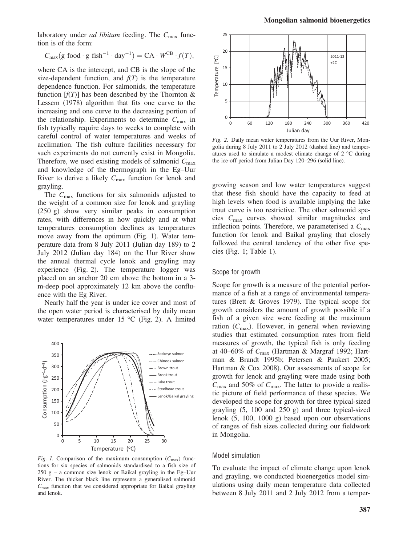$$
C_{\text{max}}(g \text{ food} \cdot g \text{ fish}^{-1} \cdot \text{day}^{-1}) = CA \cdot W^{CB} \cdot f(T),
$$

where CA is the intercept, and CB is the slope of the size-dependent function, and  $f(T)$  is the temperature dependence function. For salmonids, the temperature function  $[f(T)]$  has been described by the Thornton & Lessem (1978) algorithm that fits one curve to the increasing and one curve to the decreasing portion of the relationship. Experiments to determine  $C_{\text{max}}$  in fish typically require days to weeks to complete with careful control of water temperatures and weeks of acclimation. The fish culture facilities necessary for such experiments do not currently exist in Mongolia. Therefore, we used existing models of salmonid  $C_{\text{max}}$ and knowledge of the thermograph in the Eg–Uur River to derive a likely  $C_{\text{max}}$  function for lenok and grayling.

The  $C_{\text{max}}$  functions for six salmonids adjusted to the weight of a common size for lenok and grayling (250 g) show very similar peaks in consumption rates, with differences in how quickly and at what temperatures consumption declines as temperatures move away from the optimum (Fig. 1). Water temperature data from 8 July 2011 (Julian day 189) to 2 July 2012 (Julian day 184) on the Uur River show the annual thermal cycle lenok and grayling may experience (Fig. 2). The temperature logger was placed on an anchor 20 cm above the bottom in a 3 m-deep pool approximately 12 km above the confluence with the Eg River.

Nearly half the year is under ice cover and most of the open water period is characterised by daily mean water temperatures under 15 °C (Fig. 2). A limited



Fig. 1. Comparison of the maximum consumption  $(C_{\text{max}})$  functions for six species of salmonids standardised to a fish size of  $250$  g – a common size lenok or Baikal grayling in the Eg–Uur River. The thicker black line represents a generalised salmonid  $C_{\text{max}}$  function that we considered appropriate for Baikal grayling and lenok.



Fig. 2. Daily mean water temperatures from the Uur River, Mongolia during 8 July 2011 to 2 July 2012 (dashed line) and temperatures used to simulate a modest climate change of 2 °C during the ice-off period from Julian Day 120–296 (solid line).

growing season and low water temperatures suggest that these fish should have the capacity to feed at high levels when food is available implying the lake trout curve is too restrictive. The other salmonid species  $C_{\text{max}}$  curves showed similar magnitudes and inflection points. Therefore, we parameterised a  $C_{\text{max}}$ function for lenok and Baikal grayling that closely followed the central tendency of the other five species (Fig. 1; Table 1).

## Scope for growth

Scope for growth is a measure of the potential performance of a fish at a range of environmental temperatures (Brett & Groves 1979). The typical scope for growth considers the amount of growth possible if a fish of a given size were feeding at the maximum ration  $(C_{\text{max}})$ . However, in general when reviewing studies that estimated consumption rates from field measures of growth, the typical fish is only feeding at 40–60% of Cmax (Hartman & Margraf 1992; Hartman & Brandt 1995b; Petersen & Paukert 2005; Hartman & Cox 2008). Our assessments of scope for growth for lenok and grayling were made using both  $C_{\text{max}}$  and 50% of  $C_{\text{max}}$ . The latter to provide a realistic picture of field performance of these species. We developed the scope for growth for three typical-sized grayling (5, 100 and 250 g) and three typical-sized lenok (5, 100, 1000 g) based upon our observations of ranges of fish sizes collected during our fieldwork in Mongolia.

#### Model simulation

To evaluate the impact of climate change upon lenok and grayling, we conducted bioenergetics model simulations using daily mean temperature data collected between 8 July 2011 and 2 July 2012 from a temper-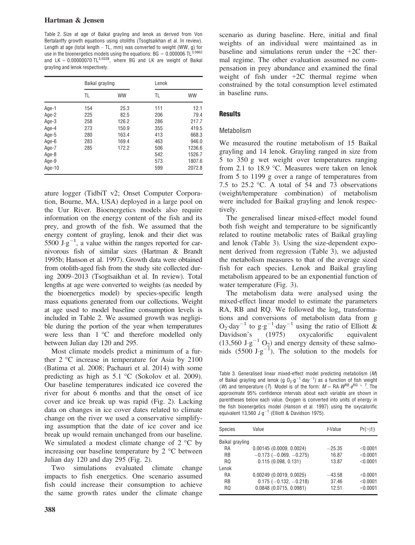Table 2. Size at age of Baikal grayling and lenok as derived from Von Bertalanffy growth equations using otoliths (Tsogtsaikhan et al. In review). Length at age (total length  $-$  TL, mm) was converted to weight (WW, g) for use in the bioenergetics models using the equations:  $BG = 0.000006$   $TL^{3.0862}$ and  $LK = 0.00000070 \cdot TL^{3.0328}$ , where BG and LK are weight of Baikal grayling and lenok respectively.

|        | Baikal grayling |           | Lenok |           |
|--------|-----------------|-----------|-------|-----------|
|        | TL              | <b>WW</b> | TL    | <b>WW</b> |
| Age-1  | 154             | 25.3      | 111   | 12.1      |
| Age-2  | 225             | 82.5      | 206   | 79.4      |
| Age-3  | 258             | 126.2     | 286   | 217.7     |
| Age-4  | 273             | 150.9     | 355   | 419.5     |
| Age-5  | 280             | 163.4     | 413   | 668.3     |
| Age-6  | 283             | 169.4     | 463   | 946.0     |
| Age-7  | 285             | 172.2     | 506   | 1236.6    |
| Age-8  |                 |           | 542   | 1526.7    |
| Age-9  |                 |           | 573   | 1807.6    |
| Age-10 |                 |           | 599   | 2072.8    |

ature logger (TidbiT v2; Onset Computer Corporation, Bourne, MA, USA) deployed in a large pool on the Uur River. Bioenergetics models also require information on the energy content of the fish and its prey, and growth of the fish. We assumed that the energy content of grayling, lenok and their diet was  $5500 \text{ J} \text{ g}^{-1}$ , a value within the ranges reported for carnivorous fish of similar sizes (Hartman & Brandt 1995b; Hanson et al. 1997). Growth data were obtained from otolith-aged fish from the study site collected during 2009–2013 (Tsogtsaikhan et al. In review). Total lengths at age were converted to weights (as needed by the bioenergetics model) by species-specific length mass equations generated from our collections. Weight at age used to model baseline consumption levels is included in Table 2. We assumed growth was negligible during the portion of the year when temperatures were less than 1 °C and therefore modelled only between Julian day 120 and 295.

Most climate models predict a minimum of a further 2 °C increase in temperature for Asia by 2100 (Batima et al. 2008; Pachauri et al. 2014) with some predicting as high as 5.1 °C (Sokolov et al. 2009). Our baseline temperatures indicated ice covered the river for about 6 months and that the onset of ice cover and ice break up was rapid (Fig. 2). Lacking data on changes in ice cover dates related to climate change on the river we used a conservative simplifying assumption that the date of ice cover and ice break up would remain unchanged from our baseline. We simulated a modest climate change of  $2^{\circ}$ C by increasing our baseline temperature by 2 °C between Julian day 120 and day 295 (Fig. 2).

Two simulations evaluated climate change impacts to fish energetics. One scenario assumed fish could increase their consumption to achieve the same growth rates under the climate change scenario as during baseline. Here, initial and final weights of an individual were maintained as in baseline and simulations rerun under the +2C thermal regime. The other evaluation assumed no compensation in prey abundance and examined the final weight of fish under +2C thermal regime when constrained by the total consumption level estimated in baseline runs.

## **Results**

## Metabolism

We measured the routine metabolism of 15 Baikal grayling and 14 lenok. Grayling ranged in size from 5 to 350 g wet weight over temperatures ranging from 2.1 to 18.9 °C. Measures were taken on lenok from 5 to 1199 g over a range of temperatures from 7.5 to 25.2  $\degree$ C. A total of 54 and 73 observations (weight/temperature combination) of metabolism were included for Baikal grayling and lenok respectively.

The generalised linear mixed-effect model found both fish weight and temperature to be significantly related to routine metabolic rates of Baikal grayling and lenok (Table 3). Using the size-dependent exponent derived from regression (Table 3), we adjusted the metabolism measures to that of the average sized fish for each species. Lenok and Baikal grayling metabolism appeared to be an exponential function of water temperature (Fig. 3).

The metabolism data were analysed using the mixed-effect linear model to estimate the parameters RA, RB and RQ. We followed the log<sub>e</sub> transformations and conversions of metabolism data from g  $Q_2$  day<sup>-1</sup> to g g<sup>-1</sup> day<sup>-1</sup> using the ratio of Elliott & Davidson's (1975) oxycalorific equivalent  $(13,560 \text{ J} \cdot \text{g}^{-1} \text{ O}_2)$  and energy density of these salmonids  $(5500 \text{ J} \cdot \text{g}^{-1})$ . The solution to the models for

Table 3. Generalised linear mixed-effect model predicting metabolism (M) of Baikal grayling and lenok (g  $O_2 \cdot g^{-1} \cdot day^{-1}$ ) as a function of fish weight (*W*) and temperature (*T*). Model is of the form:  $M = RA \cdot W^{RB} \cdot e^{RQ} \times T$ . The approximate 95% confidence intervals about each variable are shown in parentheses below each value. Oxygen is converted into units of energy in the fish bioenergetics model (Hanson et al. 1997) using the oxycalorific equivalent  $13,560 \text{ J}\cdot \text{g}^{-1}$  (Elliott & Davidson 1975).

| <b>Species</b>  | Value                            | t-Value  | $Pr(>= t )$ |
|-----------------|----------------------------------|----------|-------------|
| Baikal grayling |                                  |          |             |
| <b>RA</b>       | 0.00145(0.0009, 0.0024)          | $-25.35$ | < 0.0001    |
| <b>RB</b>       | $-0.173$ ( $-0.069$ , $-0.275$ ) | 16.87    | < 0.0001    |
| RQ              | 0.115(0.098, 0.131)              | 13.87    | $<$ 0.0001  |
| Lenok           |                                  |          |             |
| RA              | $0.00249$ (0.0019, 0.0025)       | $-43.58$ | < 0.0001    |
| <b>RB</b>       | $0.175$ (-0.132, -0.218)         | 37.46    | < 0.0001    |
| RQ              | $0.0848$ (0.0715, 0.0981)        | 12.51    | < 0.0001    |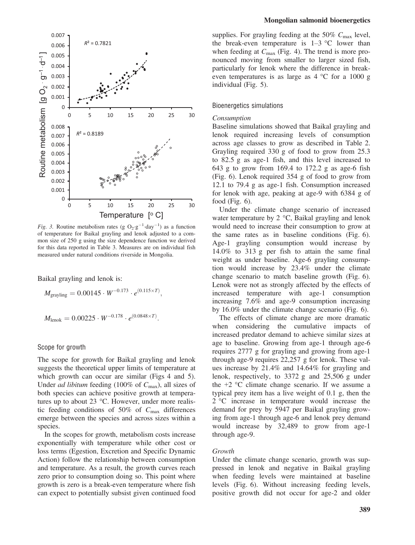

*Fig.* 3. Routine metabolism rates (g  $O_2$ ·g<sup>-1</sup>·day<sup>-1</sup>) as a function of temperature for Baikal grayling and lenok adjusted to a common size of 250 g using the size dependence function we derived for this data reported in Table 3. Measures are on individual fish measured under natural conditions riverside in Mongolia.

Baikal grayling and lenok is:

$$
M_{\text{grayling}} = 0.00145 \cdot W^{-0.173} \cdot e^{(0.115 \times T)},
$$

$$
M_{\text{lenok}} = 0.00225 \cdot W^{-0.178} \cdot e^{(0.0848 \times T)}.
$$

#### Scope for growth

The scope for growth for Baikal grayling and lenok suggests the theoretical upper limits of temperature at which growth can occur are similar (Figs 4 and 5). Under *ad libitum* feeding (100% of  $C_{\text{max}}$ ), all sizes of both species can achieve positive growth at temperatures up to about 23 °C. However, under more realistic feeding conditions of  $50\%$  of  $C_{\text{max}}$  differences emerge between the species and across sizes within a species.

In the scopes for growth, metabolism costs increase exponentially with temperature while other cost or loss terms (Egestion, Excretion and Specific Dynamic Action) follow the relationship between consumption and temperature. As a result, the growth curves reach zero prior to consumption doing so. This point where growth is zero is a break-even temperature where fish can expect to potentially subsist given continued food

supplies. For grayling feeding at the 50%  $C_{\text{max}}$  level, the break-even temperature is  $1-3$  °C lower than when feeding at  $C_{\text{max}}$  (Fig. 4). The trend is more pronounced moving from smaller to larger sized fish, particularly for lenok where the difference in breakeven temperatures is as large as  $4^{\circ}$ C for a 1000 g individual (Fig. 5).

## Bioenergetics simulations

#### Consumption

Baseline simulations showed that Baikal grayling and lenok required increasing levels of consumption across age classes to grow as described in Table 2. Grayling required 330 g of food to grow from 25.3 to 82.5 g as age-1 fish, and this level increased to 643 g to grow from 169.4 to 172.2 g as age-6 fish (Fig. 6). Lenok required 354 g of food to grow from 12.1 to 79.4 g as age-1 fish. Consumption increased for lenok with age, peaking at age-9 with 6384 g of food (Fig. 6).

Under the climate change scenario of increased water temperature by 2 °C, Baikal grayling and lenok would need to increase their consumption to grow at the same rates as in baseline conditions (Fig. 6). Age-1 grayling consumption would increase by 14.0% to 313 g per fish to attain the same final weight as under baseline. Age-6 grayling consumption would increase by 23.4% under the climate change scenario to match baseline growth (Fig. 6). Lenok were not as strongly affected by the effects of increased temperature with age-1 consumption increasing 7.6% and age-9 consumption increasing by 16.0% under the climate change scenario (Fig. 6).

The effects of climate change are more dramatic when considering the cumulative impacts of increased predator demand to achieve similar sizes at age to baseline. Growing from age-1 through age-6 requires 2777 g for grayling and growing from age-1 through age-9 requires 22,257 g for lenok. These values increase by 21.4% and 14.64% for grayling and lenok, respectively, to 3372 g and 25,506 g under the  $+2$  °C climate change scenario. If we assume a typical prey item has a live weight of 0.1 g, then the 2 °C increase in temperature would increase the demand for prey by 5947 per Baikal grayling growing from age-1 through age-6 and lenok prey demand would increase by 32,489 to grow from age-1 through age-9.

## Growth

Under the climate change scenario, growth was suppressed in lenok and negative in Baikal grayling when feeding levels were maintained at baseline levels (Fig. 6). Without increasing feeding levels, positive growth did not occur for age-2 and older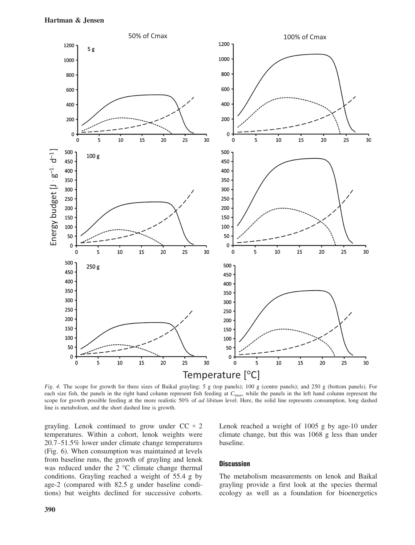

Fig. 4. The scope for growth for three sizes of Baikal grayling: 5 g (top panels); 100 g (centre panels); and 250 g (bottom panels). For each size fish, the panels in the right hand column represent fish feeding at  $C_{\text{max}}$ , while the panels in the left hand column represent the scope for growth possible feeding at the more realistic 50% of *ad libitum* level. Here, the solid line represents consumption, long dashed line is metabolism, and the short dashed line is growth.

grayling. Lenok continued to grow under  $CC + 2$ temperatures. Within a cohort, lenok weights were 20.7–51.5% lower under climate change temperatures (Fig. 6). When consumption was maintained at levels from baseline runs, the growth of grayling and lenok was reduced under the 2 °C climate change thermal conditions. Grayling reached a weight of 55.4 g by age-2 (compared with 82.5 g under baseline conditions) but weights declined for successive cohorts. Lenok reached a weight of 1005 g by age-10 under climate change, but this was 1068 g less than under baseline.

## **Discussion**

The metabolism measurements on lenok and Baikal grayling provide a first look at the species thermal ecology as well as a foundation for bioenergetics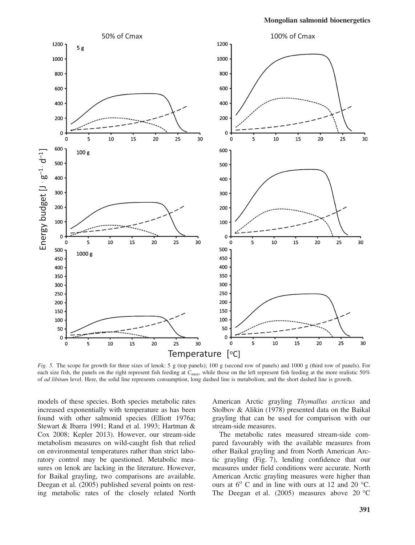

Fig. 5. The scope for growth for three sizes of lenok: 5 g (top panels); 100 g (second row of panels) and 1000 g (third row of panels). For each size fish, the panels on the right represent fish feeding at C<sub>max</sub>, while those on the left represent fish feeding at the more realistic 50% of *ad libitum* level. Here, the solid line represents consumption, long dashed line is metabolism, and the short dashed line is growth.

models of these species. Both species metabolic rates increased exponentially with temperature as has been found with other salmonid species (Elliott 1976a; Stewart & Ibarra 1991; Rand et al. 1993; Hartman & Cox 2008; Kepler 2013). However, our stream-side metabolism measures on wild-caught fish that relied on environmental temperatures rather than strict laboratory control may be questioned. Metabolic measures on lenok are lacking in the literature. However, for Baikal grayling, two comparisons are available. Deegan et al. (2005) published several points on resting metabolic rates of the closely related North American Arctic grayling Thymallus arcticus and Stolbov & Alikin (1978) presented data on the Baikal grayling that can be used for comparison with our stream-side measures.

The metabolic rates measured stream-side compared favourably with the available measures from other Baikal grayling and from North American Arctic grayling (Fig. 7), lending confidence that our measures under field conditions were accurate. North American Arctic grayling measures were higher than ours at  $6^{\circ}$  C and in line with ours at 12 and 20  $^{\circ}$ C. The Deegan et al. (2005) measures above 20 °C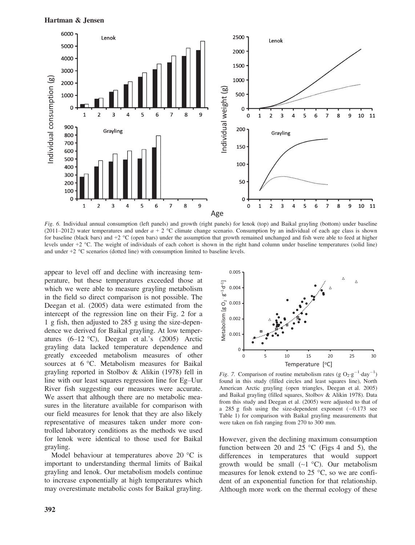



Fig. 6. Individual annual consumption (left panels) and growth (right panels) for lenok (top) and Baikal grayling (bottom) under baseline (2011–2012) water temperatures and under  $a + 2$  °C climate change scenario. Consumption by an individual of each age class is shown for baseline (black bars) and +2 °C (open bars) under the assumption that growth remained unchanged and fish were able to feed at higher levels under +2 °C. The weight of individuals of each cohort is shown in the right hand column under baseline temperatures (solid line) and under +2 °C scenarios (dotted line) with consumption limited to baseline levels.

appear to level off and decline with increasing temperature, but these temperatures exceeded those at which we were able to measure grayling metabolism in the field so direct comparison is not possible. The Deegan et al. (2005) data were estimated from the intercept of the regression line on their Fig. 2 for a 1 g fish, then adjusted to 285 g using the size-dependence we derived for Baikal grayling. At low temperatures  $(6-12 \text{ °C})$ , Deegan et al.'s  $(2005)$  Arctic grayling data lacked temperature dependence and greatly exceeded metabolism measures of other sources at 6 °C. Metabolism measures for Baikal grayling reported in Stolbov & Alikin (1978) fell in line with our least squares regression line for Eg–Uur River fish suggesting our measures were accurate. We assert that although there are no metabolic measures in the literature available for comparison with our field measures for lenok that they are also likely representative of measures taken under more controlled laboratory conditions as the methods we used for lenok were identical to those used for Baikal grayling.

Model behaviour at temperatures above 20 °C is important to understanding thermal limits of Baikal grayling and lenok. Our metabolism models continue to increase exponentially at high temperatures which may overestimate metabolic costs for Baikal grayling.



Fig. 7. Comparison of routine metabolism rates (g  $O_2$  g<sup>-1</sup> day<sup>-1</sup>) found in this study (filled circles and least squares line), North American Arctic grayling (open triangles, Deegan et al. 2005) and Baikal grayling (filled squares, Stolbov & Alikin 1978). Data from this study and Deegan et al. (2005) were adjusted to that of a 285 g fish using the size-dependent exponent  $(-0.173 \text{ sec})$ Table 1) for comparison with Baikal grayling measurements that were taken on fish ranging from 270 to 300 mm.

However, given the declining maximum consumption function between 20 and 25  $\degree$ C (Figs 4 and 5), the differences in temperatures that would support growth would be small  $(\sim 1 \degree C)$ . Our metabolism measures for lenok extend to 25 °C, so we are confident of an exponential function for that relationship. Although more work on the thermal ecology of these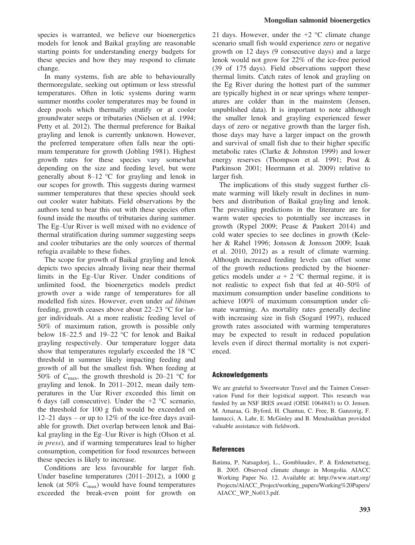species is warranted, we believe our bioenergetics models for lenok and Baikal grayling are reasonable starting points for understanding energy budgets for these species and how they may respond to climate change.

In many systems, fish are able to behaviourally thermoregulate, seeking out optimum or less stressful temperatures. Often in lotic systems during warm summer months cooler temperatures may be found in deep pools which thermally stratify or at cooler groundwater seeps or tributaries (Nielsen et al. 1994; Petty et al. 2012). The thermal preference for Baikal grayling and lenok is currently unknown. However, the preferred temperature often falls near the optimum temperature for growth (Jobling 1981). Highest growth rates for these species vary somewhat depending on the size and feeding level, but were generally about 8–12 °C for grayling and lenok in our scopes for growth. This suggests during warmest summer temperatures that these species should seek out cooler water habitats. Field observations by the authors tend to bear this out with these species often found inside the mouths of tributaries during summer. The Eg–Uur River is well mixed with no evidence of thermal stratification during summer suggesting seeps and cooler tributaries are the only sources of thermal refugia available to these fishes.

The scope for growth of Baikal grayling and lenok depicts two species already living near their thermal limits in the Eg–Uur River. Under conditions of unlimited food, the bioenergetics models predict growth over a wide range of temperatures for all modelled fish sizes. However, even under ad libitum feeding, growth ceases above about 22–23 °C for larger individuals. At a more realistic feeding level of 50% of maximum ration, growth is possible only below 18–22.5 and 19–22 °C for lenok and Baikal grayling respectively. Our temperature logger data show that temperatures regularly exceeded the 18 °C threshold in summer likely impacting feeding and growth of all but the smallest fish. When feeding at 50% of  $C_{\text{max}}$ , the growth threshold is 20–21 °C for grayling and lenok. In 2011–2012, mean daily temperatures in the Uur River exceeded this limit on 6 days (all consecutive). Under the  $+2$  °C scenario, the threshold for 100 g fish would be exceeded on 12–21 days – or up to 12% of the ice-free days available for growth. Diet overlap between lenok and Baikal grayling in the Eg–Uur River is high (Olson et al. in press), and if warming temperatures lead to higher consumption, competition for food resources between these species is likely to increase.

Conditions are less favourable for larger fish. Under baseline temperatures (2011–2012), a 1000 g lenok (at 50%  $C_{\text{max}}$ ) would have found temperatures exceeded the break-even point for growth on 21 days. However, under the  $+2$  °C climate change scenario small fish would experience zero or negative growth on 12 days (9 consecutive days) and a large lenok would not grow for 22% of the ice-free period (39 of 175 days). Field observations support these thermal limits. Catch rates of lenok and grayling on the Eg River during the hottest part of the summer are typically highest in or near springs where temperatures are colder than in the mainstem (Jensen, unpublished data). It is important to note although the smaller lenok and grayling experienced fewer days of zero or negative growth than the larger fish, those days may have a larger impact on the growth and survival of small fish due to their higher specific metabolic rates (Clarke & Johnston 1999) and lower energy reserves (Thompson et al. 1991; Post & Parkinson 2001; Heermann et al. 2009) relative to larger fish.

The implications of this study suggest further climate warming will likely result in declines in numbers and distribution of Baikal grayling and lenok. The prevailing predictions in the literature are for warm water species to potentially see increases in growth (Rypel 2009; Pease & Paukert 2014) and cold water species to see declines in growth (Keleher & Rahel 1996; Jonsson & Jonsson 2009; Isaak et al. 2010, 2012) as a result of climate warming. Although increased feeding levels can offset some of the growth reductions predicted by the bioenergetics models under  $a + 2$  °C thermal regime, it is not realistic to expect fish that fed at 40–50% of maximum consumption under baseline conditions to achieve 100% of maximum consumption under climate warming. As mortality rates generally decline with increasing size in fish (Sogard 1997), reduced growth rates associated with warming temperatures may be expected to result in reduced population levels even if direct thermal mortality is not experienced.

## Acknowledgements

We are grateful to Sweetwater Travel and the Taimen Conservation Fund for their logistical support. This research was funded by an NSF IRES award (OISE 1064843) to O. Jensen. M. Amaraa, G. Byford, H. Chantuu, C. Free, B. Ganzorig, F. Iannucci, A. Lahr, E. McGinley and B. Mendsaikhan provided valuable assistance with fieldwork.

## **References**

Batima, P, Natsagdorj, L., Gombluudev, P. & Erdenetsetseg, B. 2005. Observed climate change in Mongolia. AIACC Working Paper No. 12. Available at: [http://www.start.org/](http://www.start.org/Projects/AIACC_Project/working_papers/Working%20Papers/AIACC_WP_No013.pdf) [Projects/AIACC\\_Project/working\\_papers/Working%20Papers/](http://www.start.org/Projects/AIACC_Project/working_papers/Working%20Papers/AIACC_WP_No013.pdf) [AIACC\\_WP\\_No013.pdf](http://www.start.org/Projects/AIACC_Project/working_papers/Working%20Papers/AIACC_WP_No013.pdf).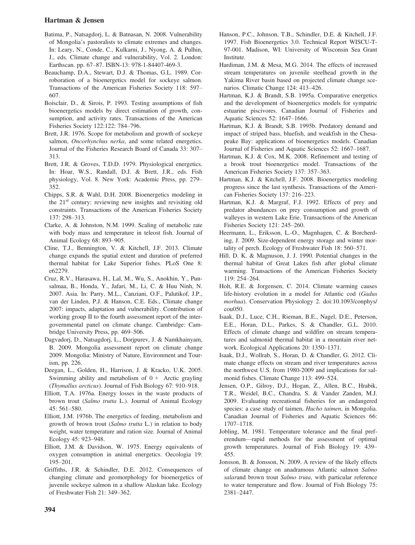- Batima, P., Natsagdorj, L. & Batnasan, N. 2008. Vulnerability of Mongolia's pastoralists to climate extremes and changes. In: Leary, N., Conde, C., Kulkarni, J., Nyong, A. & Pulhin, J., eds. Climate change and vulnerability, Vol. 2. London: Earthscan. pp. 67–87. ISBN-13: 978-1-84407-469-3.
- Beauchamp, D.A., Stewart, D.J. & Thomas, G.L. 1989. Corroboration of a bioenergetics model for sockeye salmon. Transactions of the American Fisheries Society 118: 597– 607.
- Boisclair, D., & Sirois, P. 1993. Testing assumptions of fish bioenergetics models by direct estimation of growth, consumption, and activity rates. Transactions of the American Fisheries Society 122:122: 784–796.
- Brett, J.R. 1976. Scope for metabolism and growth of sockeye salmon, Oncorhynchus nerka, and some related energetics. Journal of the Fisheries Research Board of Canada 33: 307– 313.
- Brett, J.R. & Groves, T.D.D. 1979. Physiological energetics. In: Hoar, W.S., Randall, D.J. & Brett, J.R., eds. Fish physiology, Vol. 8. New York: Academic Press, pp. 279– 352.
- Chipps, S.R. & Wahl, D.H. 2008. Bioenergetics modeling in the 21<sup>st</sup> century: reviewing new insights and revisiting old constraints. Transactions of the American Fisheries Society 137: 298–313.
- Clarke, A. & Johnston, N.M. 1999. Scaling of metabolic rate with body mass and temperature in teleost fish. Journal of Animal Ecology 68: 893–905.
- Cline, T.J., Bennington, V. & Kitchell, J.F. 2013. Climate change expands the spatial extent and duration of preferred thermal habitat for Lake Superior fishes. PLoS One 8: e62279.
- Cruz, R.V., Harasawa, H., Lal, M., Wu, S., Anokhin, Y., Punsalmaa, B., Honda, Y., Jafari, M., Li, C. & Huu Ninh, N. 2007. Asia. In: Parry, M.L., Canziani, O.F., Palutikof, J.P., van der Linden, P.J. & Hanson, C.E. Eds., Climate change 2007: impacts, adaptation and vulnerability. Contribution of working group II to the fourth assessment report of the intergovernmental panel on climate change. Cambridge: Cambridge University Press, pp. 469–506.
- Dagvadorj, D., Natsagdorj, L., Dorjpurev, J. & Namkhainyam, B. 2009. Mongolia assessment report on climate change 2009. Mongolia: Ministry of Nature, Environment and Tourism, pp. 226.
- Deegan, L., Golden, H., Harrison, J. & Kracko, U.K. 2005. Swimming ability and metabolism of  $0 +$  Arctic grayling (Thymallus arcticus). Journal of Fish Biology 67: 910–918.
- Elliott, T.A. 1976a. Energy losses in the waste products of brown trout (Salmo trutta L.). Journal of Animal Ecology 45: 561–580.
- Elliott, J.M. 1976b. The energetics of feeding, metabolism and growth of brown trout (Salmo trutta L.) in relation to body weight, water temperature and ration size. Journal of Animal Ecology 45: 923–948.
- Elliott, J.M. & Davidson, W. 1975. Energy equivalents of oxygen consumption in animal energetics. Oecologia 19: 195–201.
- Griffiths, J.R. & Schindler, D.E. 2012. Consequences of changing climate and geomorphology for bioenergetics of juvenile sockeye salmon in a shallow Alaskan lake. Ecology of Freshwater Fish 21: 349–362.
- Hanson, P.C., Johnson, T.B., Schindler, D.E. & Kitchell, J.F. 1997. Fish Bioenergetics 3.0. Technical Report WISCU-T-97-001. Madison, WI: University of Wisconsin Sea Grant Institute.
- Hardiman, J.M. & Mesa, M.G. 2014. The effects of increased stream temperatures on juvenile steelhead growth in the Yakima River basin based on projected climate change scenarios. Climatic Change 124: 413–426.
- Hartman, K.J. & Brandt, S.B. 1995a. Comparative energetics and the development of bioenergetics models for sympatric estuarine piscivores. Canadian Journal of Fisheries and Aquatic Sciences 52: 1647–1666.
- Hartman, K.J. & Brandt, S.B. 1995b. Predatory demand and impact of striped bass, bluefish, and weakfish in the Chesapeake Bay: applications of bioenergetics models. Canadian Journal of Fisheries and Aquatic Sciences 52: 1667–1687.
- Hartman, K.J. & Cox, M.K. 2008. Refinement and testing of a brook trout bioenergetics model. Transactions of the American Fisheries Society 137: 357–363.
- Hartman, K.J. & Kitchell, J.F. 2008. Bioenergetics modeling progress since the last synthesis. Transactions of the American Fisheries Society 137: 216–223.
- Hartman, K.J. & Margraf, F.J. 1992. Effects of prey and predator abundances on prey consumption and growth of walleyes in western Lake Erie. Transactions of the American Fisheries Society 121: 245–260.
- Heermann, L., Eriksson, L.-O., Magnhagen, C. & Borcherding, J. 2009. Size-dependent energy storage and winter mortality of perch. Ecology of Freshwater Fish 18: 560–571.
- Hill, D. K. & Magnuson, J. J. 1990. Potential changes in the thermal habitat of Great Lakes fish after global climate warming. Transactions of the American Fisheries Society 119: 254–264.
- Holt, R.E. & Jorgensen, C. 2014. Climate warming causes life-history evolution in a model for Atlantic cod (Gadus morhua). Conservation Physiology 2. doi:[10.1093/conphys/](http://dx.doi.org/10.1093/conphys/cou050) [cou050.](http://dx.doi.org/10.1093/conphys/cou050)
- Isaak, D.J., Luce, C.H., Rieman, B.E., Nagel, D.E., Peterson, E.E., Horan, D.L., Parkes, S. & Chandler, G.L. 2010. Effects of climate change and wildfire on stream temperatures and salmonid thermal habitat in a mountain river network. Ecological Applications 20: 1350–1371.
- Isaak, D.J., Wollrab, S., Horan, D. & Chandler, G. 2012. Climate change effects on stream and river temperatures across the northwest U.S. from 1980-2009 and implications for salmonid fishes. Climate Change 113: 499–524.
- Jensen, O.P., Gilroy, D.J., Hogan, Z., Allen, B.C., Hrabik, T.R., Weidel, B.C., Chandra, S. & Vander Zanden, M.J. 2009. Evaluating recreational fisheries for an endangered species: a case study of taimen, Hucho taimen, in Mongolia. Canadian Journal of Fisheries and Aquatic Sciences 66: 1707–1718.
- Jobling, M. 1981. Temperature tolerance and the final preferendum—rapid methods for the assessment of optimal growth temperatures. Journal of Fish Biology 19: 439– 455.
- Jonsson, B. & Jonsson, N. 2009. A review of the likely effects of climate change on anadramous Atlantic salmon Salmo salarand brown trout Salmo truta, with particular reference to water temperature and flow. Journal of Fish Biology 75: 2381–2447.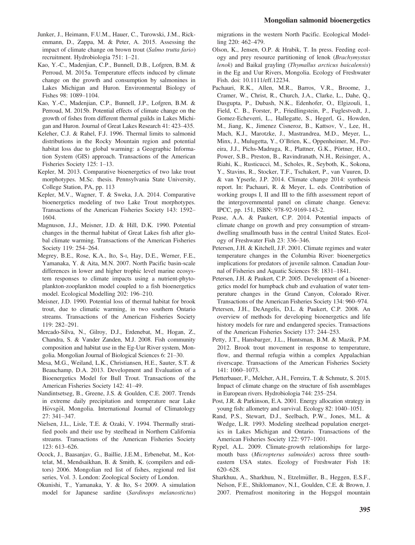- Junker, J., Heimann, F.U.M., Hauer, C., Turowski, J.M., Rickenmann, D., Zappa, M. & Peter, A. 2015. Assessing the impact of climate change on brown trout (Salmo trutta fario) recruitment. Hydrobiologia 751: 1–21.
- Kao, Y.-C., Madenjian, C.P., Bunnell, D.B., Lofgren, B.M. & Perroud, M. 2015a. Temperature effects induced by climate change on the growth and consumption by salmonines in Lakes Michigan and Huron. Environmental Biology of Fishes 98: 1089–1104.
- Kao, Y.-C., Madenjian, C.P., Bunnell, J.P., Lofgren, B.M. & Perroud, M. 2015b. Potential effects of climate change on the growth of fishes from different thermal guilds in Lakes Michigan and Huron. Journal of Great Lakes Research 41: 423–435.
- Keleher, C.J. & Rahel, F.J. 1996. Thermal limits to salmonid distributions in the Rocky Mountain region and potential habitat loss due to global warming: a Geographic Information System (GIS) approach. Transactions of the American Fisheries Society 125: 1–13.
- Kepler, M. 2013. Comparative bioenergetics of two lake trout morphotypes. M.Sc. thesis. Pennsylvania State University, College Station, PA, pp. 113
- Kepler, M.V., Wagner, T. & Sweka, J.A. 2014. Comparative bioenergetics modeling of two Lake Trout morphotypes. Transactions of the American Fisheries Society 143: 1592– 1604.
- Magnuson, J.J., Meisner, J.D. & Hill, D.K. 1990. Potential changes in the thermal habitat of Great Lakes fish after global climate warming. Transactions of the American Fisheries Society 119: 254–264.
- Megrey, B.E., Rose, K.A., Ito, S-I, Hay, D.E., Werner, F.E., Yamanaka, Y. & Aita, M.N. 2007. North Pacific basin-scale differences in lower and higher trophic level marine ecosystem responses to climate impacts using a nutrient-phytoplankton-zooplankton model coupled to a fish bioenergetics model. Ecological Modelling 202: 196–210.
- Meisner, J.D. 1990. Potential loss of thermal habitat for brook trout, due to climatic warming, in two southern Ontario streams. Transactions of the American Fisheries Society 119: 282–291.
- Mercado-Silva, N., Gilroy, D.J., Erdenebat, M., Hogan, Z., Chandra, S. & Vander Zanden, M.J. 2008. Fish community composition and habitat use in the Eg-Uur River system, Mongolia. Mongolian Journal of Biological Sciences 6: 21–30.
- Mesa, M.G., Weiland, L.K., Christiansen, H.E., Sauter, S.T. & Beauchamp, D.A. 2013. Development and Evaluation of a Bioenergetics Model for Bull Trout. Transactions of the American Fisheries Society 142: 41–49.
- Nandintsetseg, B., Greene, J.S. & Goulden, C.E. 2007. Trends in extreme daily precipitation and temperature near Lake Hövsgöl, Mongolia. International Journal of Climatology 27: 341–347.
- Nielsen, J.L., Lisle, T.E. & Ozaki, V. 1994. Thermally stratified pools and their use by steelhead in Northern California streams. Transactions of the American Fisheries Society 123: 613–626.
- Ocock, J., Baasanjav, G., Baillie, J.E.M., Erbenebat, M., Kottelat, M., Mendsaikhan, B. & Smith, K. (compilers and editors) 2006. Mongolian red list of fishes, regional red list series, Vol. 3. London: Zoological Society of London.
- Okunishi, T., Yamanaka, Y. & Ito, S-I 2009. A simulation model for Japanese sardine (Sardinops melanostictus)

migrations in the western North Pacific. Ecological Modelling 220: 462–479.

- Olson, K., Jensen, O.P. & Hrabik, T. In press. Feeding ecology and prey resource partitioning of lenok (Brachymystax lenok) and Baikal grayling (Thymallus arcticus baicalensis) in the Eg and Uur Rivers, Mongolia. Ecology of Freshwater Fish. doi: [10.1111/eff.12234](http://dx.doi.org/10.1111/eff.12234).
- Pachauri, R.K., Allen, M.R., Barros, V.R., Broome, J., Cramer, W., Christ, R., Church, J.A., Clarke, L., Dahe, Q., Dasgupta, P., Dubash, N.K., Edenhofer, O., Elgizouli, I., Field, C. B., Forster, P., Friedlingstein, P., Fuglestvedt, J., Gomez-Echeverri, L., Hallegatte, S., Hegerl, G., Howden, M., Jiang, K., Jimenez Cisneroz, B., Kattsov, V., Lee, H., Mach, K.J., Marotzke, J., Mastrandrea, M.D., Meyer, L., Minx, J., Mulugetta, Y., O'Brien, K., Oppenheimer, M., Pereira, J.J., Pichs-Madruga, R., Plattner, G.K., Pörtner, H.O., Power, S.B., Preston, B., Ravindranath, N.H., Reisinger, A., Riahi, K., Rusticucci, M., Scholes, R., Seyboth, K., Sokona, Y., Stavins, R., Stocker, T.F., Tschakert, P., van Vuuren, D. & van Ypserle, J.P. 2014. Climate change 2014: synthesis report. In: Pachauri, R. & Meyer, L. eds. Contribution of working groups I, II and III to the fifth assessment report of the intergovernmental panel on climate change. Geneva: IPCC, pp. 151, ISBN: 978-92-9169-143-2.
- Pease, A.A. & Paukert, C.P. 2014. Potential impacts of climate change on growth and prey consumption of streamdwelling smallmouth bass in the central United States. Ecology of Freshwater Fish 23: 336–346.
- Petersen, J.H. & Kitchell, J.F. 2001. Climate regimes and water temperature changes in the Columbia River: bioenergetics implications for predators of juvenile salmon. Canadian Journal of Fisheries and Aquatic Sciences 58: 1831–1841.
- Petersen, J.H. & Paukert, C.P. 2005. Development of a bioenergetics model for humpback chub and evaluation of water temperature changes in the Grand Canyon, Colorado River. Transactions of the American Fisheries Society 134: 960–974.
- Petersen, J.H., DeAngelis, D.L. & Paukert, C.P. 2008. An overview of methods for developing bioenergetics and life history models for rare and endangered species. Transactions of the American Fisheries Society 137: 244–253.
- Petty, J.T., Hansbarger, J.L., Huntsman, B.M. & Mazik, P.M. 2012. Brook trout movement in response to temperature, flow, and thermal refugia within a complex Appalachian riverscape. Transactions of the American Fisheries Society 141: 1060–1073.
- Pletterbauer, F., Melcher, A.H., Ferreira, T. & Schmutz, S. 2015. Impact of climate change on the structure of fish assemblages in European rivers. Hydrobiologia 744: 235–254.
- Post, J.R. & Parkinson, E.A. 2001. Energy allocation strategy in young fish: allometry and survival. Ecology 82: 1040–1051.
- Rand, P.S., Stewart, D.J., Seelbach, P.W., Jones, M.L. & Wedge, L.R. 1993. Modeling steelhead population energetics in Lakes Michigan and Ontario. Transactions of the American Fisheries Society 122: 977–1001.
- Rypel, A.L. 2009. Climate-growth relationships for largemouth bass (Micropterus salmoides) across three southeastern USA states. Ecology of Freshwater Fish 18: 620–628.
- Sharkhuu, A., Sharkhuu, N., Etzelmüller, B., Heggen, E.S.F., Nelson, F.E., Shiklomanov, N.I., Goulden, C.E. & Brown, J. 2007. Premafrost monitoring in the Hogsgol mountain